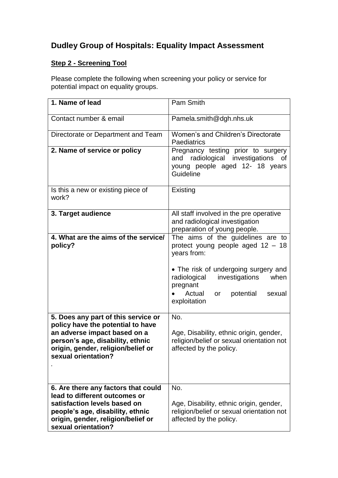## **Dudley Group of Hospitals: Equality Impact Assessment**

## **Step 2 - Screening Tool**

Please complete the following when screening your policy or service for potential impact on equality groups.

| 1. Name of lead                                                                                                                                                                                           | Pam Smith                                                                                                                                                                                                                                    |
|-----------------------------------------------------------------------------------------------------------------------------------------------------------------------------------------------------------|----------------------------------------------------------------------------------------------------------------------------------------------------------------------------------------------------------------------------------------------|
| Contact number & email                                                                                                                                                                                    | Pamela.smith@dgh.nhs.uk                                                                                                                                                                                                                      |
| Directorate or Department and Team                                                                                                                                                                        | Women's and Children's Directorate<br>Paediatrics                                                                                                                                                                                            |
| 2. Name of service or policy                                                                                                                                                                              | Pregnancy testing prior to surgery<br>radiological investigations of<br>and<br>young people aged 12- 18 years<br>Guideline                                                                                                                   |
| Is this a new or existing piece of<br>work?                                                                                                                                                               | Existing                                                                                                                                                                                                                                     |
| 3. Target audience                                                                                                                                                                                        | All staff involved in the pre operative<br>and radiological investigation<br>preparation of young people.                                                                                                                                    |
| 4. What are the aims of the service/<br>policy?                                                                                                                                                           | The aims of the guidelines are to<br>protect young people aged $12 - 18$<br>years from:<br>• The risk of undergoing surgery and<br>investigations<br>when<br>radiological<br>pregnant<br>potential<br>Actual<br>sexual<br>or<br>exploitation |
| 5. Does any part of this service or<br>policy have the potential to have<br>an adverse impact based on a<br>person's age, disability, ethnic<br>origin, gender, religion/belief or<br>sexual orientation? | No.<br>Age, Disability, ethnic origin, gender,<br>religion/belief or sexual orientation not<br>affected by the policy.                                                                                                                       |
| 6. Are there any factors that could<br>lead to different outcomes or<br>satisfaction levels based on<br>people's age, disability, ethnic<br>origin, gender, religion/belief or<br>sexual orientation?     | No.<br>Age, Disability, ethnic origin, gender,<br>religion/belief or sexual orientation not<br>affected by the policy.                                                                                                                       |